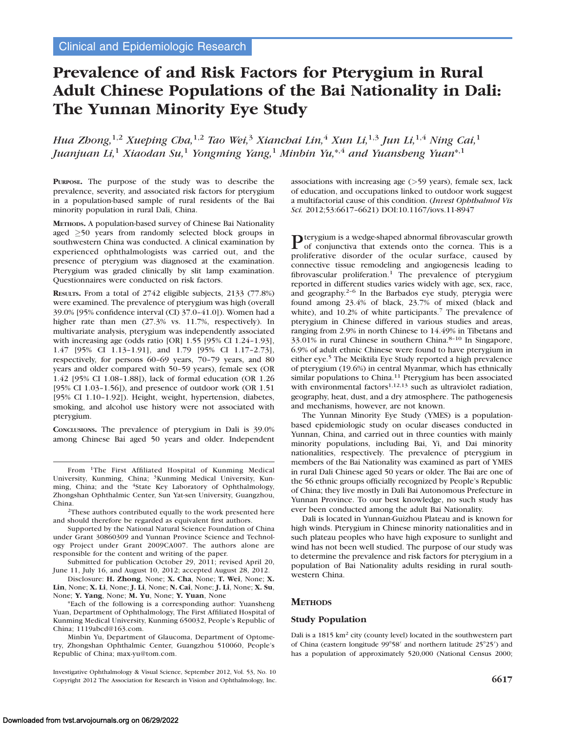# Prevalence of and Risk Factors for Pterygium in Rural Adult Chinese Populations of the Bai Nationality in Dali: The Yunnan Minority Eye Study

Hua Zhong,<sup>1,2</sup> Xueping Cha,<sup>1,2</sup> Tao Wei,<sup>3</sup> Xianchai Lin,<sup>4</sup> Xun Li,<sup>1,3</sup> Jun Li,<sup>1,4</sup> Ning Cai,<sup>1</sup> Juanjuan Li,<sup>1</sup> Xiaodan Su,<sup>1</sup> Yongming Yang,<sup>1</sup> Minbin Yu,\*<sup>,4</sup> and Yuansheng Yuan\*<sup>,1</sup>

PURPOSE. The purpose of the study was to describe the prevalence, severity, and associated risk factors for pterygium in a population-based sample of rural residents of the Bai minority population in rural Dali, China.

METHODS. A population-based survey of Chinese Bai Nationality aged  $\geq$  50 years from randomly selected block groups in southwestern China was conducted. A clinical examination by experienced ophthalmologists was carried out, and the presence of pterygium was diagnosed at the examination. Pterygium was graded clinically by slit lamp examination. Questionnaires were conducted on risk factors.

RESULTS. From a total of 2742 eligible subjects, 2133 (77.8%) were examined. The prevalence of pterygium was high (overall 39.0% [95% confidence interval (CI) 37.0–41.0]). Women had a higher rate than men (27.3% vs. 11.7%, respectively). In multivariate analysis, pterygium was independently associated with increasing age (odds ratio [OR] 1.55 [95% CI 1.24–1.93], 1.47 [95% CI 1.13–1.91], and 1.79 [95% CI 1.17–2.73], respectively, for persons 60–69 years, 70–79 years, and 80 years and older compared with 50–59 years), female sex (OR 1.42 [95% CI 1.08–1.88]), lack of formal education (OR 1.26 [95% CI 1.03–1.56]), and presence of outdoor work (OR 1.51 [95% CI 1.10–1.92]). Height, weight, hypertension, diabetes, smoking, and alcohol use history were not associated with pterygium.

CONCLUSIONS. The prevalence of pterygium in Dali is 39.0% among Chinese Bai aged 50 years and older. Independent

<sup>2</sup>These authors contributed equally to the work presented here and should therefore be regarded as equivalent first authors.

Supported by the National Natural Science Foundation of China under Grant 30860309 and Yunnan Province Science and Technology Project under Grant 2009CA007. The authors alone are responsible for the content and writing of the paper.

Submitted for publication October 29, 2011; revised April 20, June 11, July 16, and August 10, 2012; accepted August 28, 2012.

Disclosure: H. Zhong, None; X. Cha, None; T. Wei, None; X. Lin, None; X. Li, None; J. Li, None; N. Cai, None; J. Li, None; X. Su, None; Y. Yang, None; M. Yu, None; Y. Yuan, None

\*Each of the following is a corresponding author: Yuansheng Yuan, Department of Ophthalmology, The First Affiliated Hospital of Kunming Medical University, Kunming 650032, People's Republic of China; 1119abcd@163.com.

Minbin Yu, Department of Glaucoma, Department of Optometry, Zhongshan Ophthalmic Center, Guangzhou 510060, People's Republic of China; max-yu@tom.com.

Investigative Ophthalmology & Visual Science, September 2012, Vol. 53, No. 10 Copyright 2012 The Association for Research in Vision and Ophthalmology, Inc. 6617

associations with increasing age (>59 years), female sex, lack of education, and occupations linked to outdoor work suggest a multifactorial cause of this condition. (Invest Ophthalmol Vis Sci. 2012;53:6617–6621) DOI:10.1167/iovs.11-8947

Pterygium is a wedge-shaped abnormal fibrovascular growth of conjunctiva that extends onto the cornea. This is a proliferative disorder of the ocular surface, caused by connective tissue remodeling and angiogenesis leading to fibrovascular proliferation.<sup>1</sup> The prevalence of pterygium reported in different studies varies widely with age, sex, race, and geography. $2-6$  In the Barbados eye study, pterygia were found among 23.4% of black, 23.7% of mixed (black and white), and  $10.2\%$  of white participants.<sup>7</sup> The prevalence of pterygium in Chinese differed in various studies and areas, ranging from 2.9% in north Chinese to 14.49% in Tibetans and 33.01% in rural Chinese in southern China.8–10 In Singapore, 6.9% of adult ethnic Chinese were found to have pterygium in either eye.5 The Meiktila Eye Study reported a high prevalence of pterygium (19.6%) in central Myanmar, which has ethnically similar populations to China.<sup>11</sup> Pterygium has been associated with environmental factors<sup>1,12,13</sup> such as ultraviolet radiation, geography, heat, dust, and a dry atmosphere. The pathogenesis and mechanisms, however, are not known.

The Yunnan Minority Eye Study (YMES) is a populationbased epidemiologic study on ocular diseases conducted in Yunnan, China, and carried out in three counties with mainly minority populations, including Bai, Yi, and Dai minority nationalities, respectively. The prevalence of pterygium in members of the Bai Nationality was examined as part of YMES in rural Dali Chinese aged 50 years or older. The Bai are one of the 56 ethnic groups officially recognized by People's Republic of China; they live mostly in Dali Bai Autonomous Prefecture in Yunnan Province. To our best knowledge, no such study has ever been conducted among the adult Bai Nationality.

Dali is located in Yunnan-Guizhou Plateau and is known for high winds. Pterygium in Chinese minority nationalities and in such plateau peoples who have high exposure to sunlight and wind has not been well studied. The purpose of our study was to determine the prevalence and risk factors for pterygium in a population of Bai Nationality adults residing in rural southwestern China.

## **METHODS**

## Study Population

Dali is a 1815 km<sup>2</sup> city (county level) located in the southwestern part of China (eastern longitude  $99^{\circ}58'$  and northern latitude  $25^{\circ}25'$ ) and has a population of approximately 520,000 (National Census 2000;

From 1The First Affiliated Hospital of Kunming Medical University, Kunming, China; 3Kunming Medical University, Kunming, China; and the <sup>4</sup>State Key Laboratory of Ophthalmology, Zhongshan Ophthalmic Center, Sun Yat-sen University, Guangzhou, China.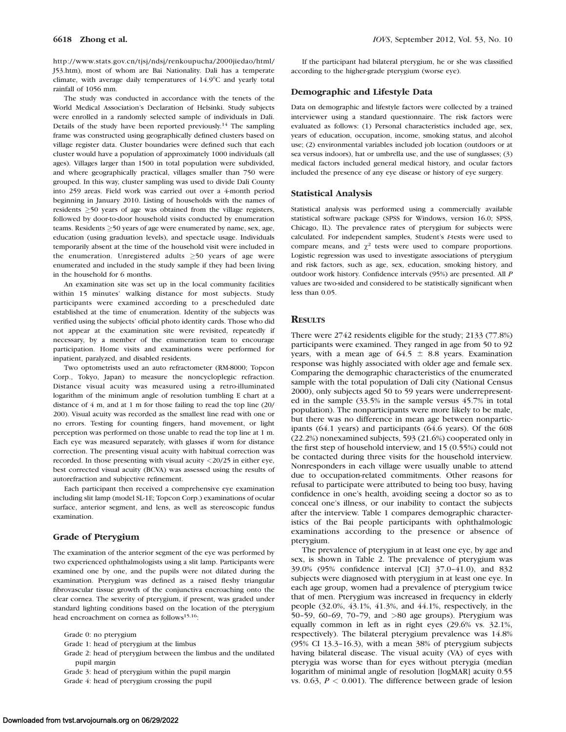http://www.stats.gov.cn/tjsj/ndsj/renkoupucha/2000jiedao/html/ J53.htm), most of whom are Bai Nationality. Dali has a temperate climate, with average daily temperatures of  $14.9^{\circ}$ C and yearly total rainfall of 1056 mm.

The study was conducted in accordance with the tenets of the World Medical Association's Declaration of Helsinki. Study subjects were enrolled in a randomly selected sample of individuals in Dali. Details of the study have been reported previously.<sup>14</sup> The sampling frame was constructed using geographically defined clusters based on village register data. Cluster boundaries were defined such that each cluster would have a population of approximately 1000 individuals (all ages). Villages larger than 1500 in total population were subdivided, and where geographically practical, villages smaller than 750 were grouped. In this way, cluster sampling was used to divide Dali County into 259 areas. Field work was carried out over a 4-month period beginning in January 2010. Listing of households with the names of residents  $\geq$  50 years of age was obtained from the village registers, followed by door-to-door household visits conducted by enumeration teams. Residents  $\geq$  50 years of age were enumerated by name, sex, age, education (using graduation levels), and spectacle usage. Individuals temporarily absent at the time of the household visit were included in the enumeration. Unregistered adults  $\geq 50$  years of age were enumerated and included in the study sample if they had been living in the household for 6 months.

An examination site was set up in the local community facilities within 15 minutes' walking distance for most subjects. Study participants were examined according to a prescheduled date established at the time of enumeration. Identity of the subjects was verified using the subjects' official photo identity cards. Those who did not appear at the examination site were revisited, repeatedly if necessary, by a member of the enumeration team to encourage participation. Home visits and examinations were performed for inpatient, paralyzed, and disabled residents.

Two optometrists used an auto refractometer (RM-8000; Topcon Corp., Tokyo, Japan) to measure the noncycloplegic refraction. Distance visual acuity was measured using a retro-illuminated logarithm of the minimum angle of resolution tumbling E chart at a distance of 4 m, and at 1 m for those failing to read the top line (20/ 200). Visual acuity was recorded as the smallest line read with one or no errors. Testing for counting fingers, hand movement, or light perception was performed on those unable to read the top line at 1 m. Each eye was measured separately, with glasses if worn for distance correction. The presenting visual acuity with habitual correction was recorded. In those presenting with visual acuity <20/25 in either eye, best corrected visual acuity (BCVA) was assessed using the results of autorefraction and subjective refinement.

Each participant then received a comprehensive eye examination including slit lamp (model SL-1E; Topcon Corp.) examinations of ocular surface, anterior segment, and lens, as well as stereoscopic fundus examination.

#### Grade of Pterygium

The examination of the anterior segment of the eye was performed by two experienced ophthalmologists using a slit lamp. Participants were examined one by one, and the pupils were not dilated during the examination. Pterygium was defined as a raised fleshy triangular fibrovascular tissue growth of the conjunctiva encroaching onto the clear cornea. The severity of pterygium, if present, was graded under standard lighting conditions based on the location of the pterygium head encroachment on cornea as follows<sup>15,16</sup>:

Grade 0: no pterygium

Grade 2: head of pterygium between the limbus and the undilated pupil margin

If the participant had bilateral pterygium, he or she was classified according to the higher-grade pterygium (worse eye).

#### Demographic and Lifestyle Data

Data on demographic and lifestyle factors were collected by a trained interviewer using a standard questionnaire. The risk factors were evaluated as follows: (1) Personal characteristics included age, sex, years of education, occupation, income, smoking status, and alcohol use; (2) environmental variables included job location (outdoors or at sea versus indoors), hat or umbrella use, and the use of sunglasses; (3) medical factors included general medical history, and ocular factors included the presence of any eye disease or history of eye surgery.

#### Statistical Analysis

Statistical analysis was performed using a commercially available statistical software package (SPSS for Windows, version 16.0; SPSS, Chicago, IL). The prevalence rates of pterygium for subjects were calculated. For independent samples, Student's t-tests were used to compare means, and  $\chi^2$  tests were used to compare proportions. Logistic regression was used to investigate associations of pterygium and risk factors, such as age, sex, education, smoking history, and outdoor work history. Confidence intervals (95%) are presented. All P values are two-sided and considered to be statistically significant when less than 0.05.

## **RESULTS**

There were 2742 residents eligible for the study; 2133 (77.8%) participants were examined. They ranged in age from 50 to 92 years, with a mean age of  $64.5 \pm 8.8$  years. Examination response was highly associated with older age and female sex. Comparing the demographic characteristics of the enumerated sample with the total population of Dali city (National Census 2000), only subjects aged 50 to 59 years were underrepresented in the sample (33.5% in the sample versus 45.7% in total population). The nonparticipants were more likely to be male, but there was no difference in mean age between nonparticipants (64.1 years) and participants (64.6 years). Of the 608 (22.2%) nonexamined subjects, 593 (21.6%) cooperated only in the first step of household interview, and 15 (0.55%) could not be contacted during three visits for the household interview. Nonresponders in each village were usually unable to attend due to occupation-related commitments. Other reasons for refusal to participate were attributed to being too busy, having confidence in one's health, avoiding seeing a doctor so as to conceal one's illness, or our inability to contact the subjects after the interview. Table 1 compares demographic characteristics of the Bai people participants with ophthalmologic examinations according to the presence or absence of pterygium.

The prevalence of pterygium in at least one eye, by age and sex, is shown in Table 2. The prevalence of pterygium was 39.0% (95% confidence interval [CI] 37.0–41.0), and 832 subjects were diagnosed with pterygium in at least one eye. In each age group, women had a prevalence of pterygium twice that of men. Pterygium was increased in frequency in elderly people (32.0%, 43.1%, 41.3%, and 44.1%, respectively, in the 50–59, 60–69, 70–79, and >80 age groups). Pterygium was equally common in left as in right eyes (29.6% vs. 32.1%, respectively). The bilateral pterygium prevalence was 14.8% (95% CI 13.3–16.3), with a mean 38% of pterygium subjects having bilateral disease. The visual acuity (VA) of eyes with pterygia was worse than for eyes without pterygia (median logarithm of minimal angle of resolution [logMAR] acuity 0.55 vs. 0.63,  $P < 0.001$ ). The difference between grade of lesion

Grade 1: head of pterygium at the limbus

Grade 3: head of pterygium within the pupil margin

Grade 4: head of pterygium crossing the pupil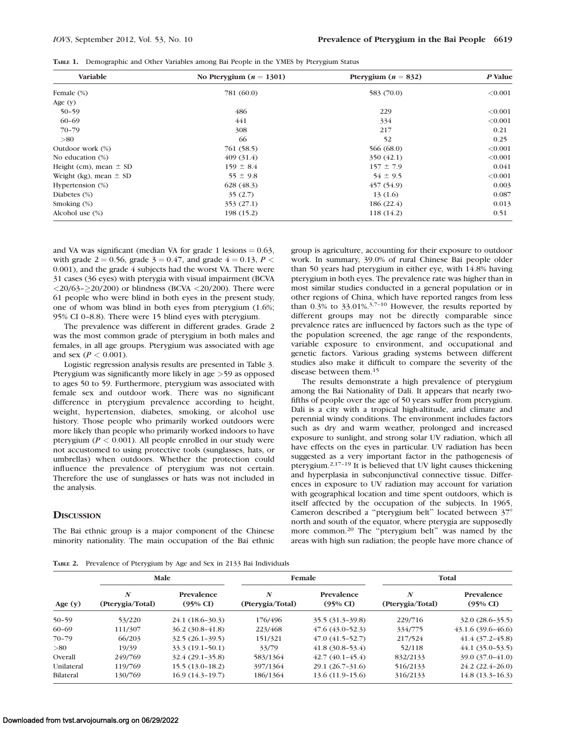|  |  | TABLE 1. Demographic and Other Variables among Bai People in the YMES by Pterygium Status |  |
|--|--|-------------------------------------------------------------------------------------------|--|
|--|--|-------------------------------------------------------------------------------------------|--|

| Variable                   | No Pterygium ( $n = 1301$ ) | Pterygium ( $n = 832$ ) | P Value |
|----------------------------|-----------------------------|-------------------------|---------|
| Female (%)                 | 781 (60.0)                  | 583 (70.0)              | < 0.001 |
| Age $(y)$                  |                             |                         |         |
| $50 - 59$                  | 486                         | 229                     | < 0.001 |
| $60 - 69$                  | 441                         | 334                     | < 0.001 |
| $70 - 79$                  | 308                         | 217                     | 0.21    |
| > 80                       | 66                          | 52                      | 0.25    |
| Outdoor work (%)           | 761 (58.5)                  | 566 (68.0)              | < 0.001 |
| No education $(\%)$        | 409(31.4)                   | 350(42.1)               | < 0.001 |
| Height (cm), mean $\pm$ SD | $159 \pm 8.4$               | $157 \pm 7.9$           | 0.041   |
| Weight (kg), mean $\pm$ SD | $55 \pm 9.8$                | $54 \pm 9.5$            | < 0.001 |
| Hypertension (%)           | 628(48.3)                   | 457(54.9)               | 0.003   |
| Diabetes $(\%)$            | 35(2.7)                     | 13(1.6)                 | 0.087   |
| Smoking $(\%)$             | 353 (27.1)                  | 186(22.4)               | 0.013   |
| Alcohol use $(\%)$         | 198 (15.2)                  | 118 (14.2)              | 0.51    |

and VA was significant (median VA for grade 1 lesions  $= 0.63$ , with grade 2 = 0.56, grade  $3 = 0.47$ , and grade  $4 = 0.13$ ,  $P <$ 0.001), and the grade 4 subjects had the worst VA. There were 31 cases (36 eyes) with pterygia with visual impairment (BCVA  $\langle 20/63 - 20/200 \rangle$  or blindness (BCVA  $\langle 20/200 \rangle$ ). There were 61 people who were blind in both eyes in the present study, one of whom was blind in both eyes from pterygium (1.6%; 95% CI 0–8.8). There were 15 blind eyes with pterygium.

The prevalence was different in different grades. Grade 2 was the most common grade of pterygium in both males and females, in all age groups. Pterygium was associated with age and sex  $(P < 0.001)$ .

Logistic regression analysis results are presented in Table 3. Pterygium was significantly more likely in age >59 as opposed to ages 50 to 59. Furthermore, pterygium was associated with female sex and outdoor work. There was no significant difference in pterygium prevalence according to height, weight, hypertension, diabetes, smoking, or alcohol use history. Those people who primarily worked outdoors were more likely than people who primarily worked indoors to have pterygium ( $P < 0.001$ ). All people enrolled in our study were not accustomed to using protective tools (sunglasses, hats, or umbrellas) when outdoors. Whether the protection could influence the prevalence of pterygium was not certain. Therefore the use of sunglasses or hats was not included in the analysis.

# **DISCUSSION**

The Bai ethnic group is a major component of the Chinese minority nationality. The main occupation of the Bai ethnic group is agriculture, accounting for their exposure to outdoor work. In summary, 39.0% of rural Chinese Bai people older than 50 years had pterygium in either eye, with 14.8% having pterygium in both eyes. The prevalence rate was higher than in most similar studies conducted in a general population or in other regions of China, which have reported ranges from less than  $0.3\%$  to 33.01%.<sup>3,7-10</sup> However, the results reported by different groups may not be directly comparable since prevalence rates are influenced by factors such as the type of the population screened, the age range of the respondents, variable exposure to environment, and occupational and genetic factors. Various grading systems between different studies also make it difficult to compare the severity of the disease between them.<sup>15</sup>

The results demonstrate a high prevalence of pterygium among the Bai Nationality of Dali. It appears that nearly twofifths of people over the age of 50 years suffer from pterygium. Dali is a city with a tropical high-altitude, arid climate and perennial windy conditions. The environment includes factors such as dry and warm weather, prolonged and increased exposure to sunlight, and strong solar UV radiation, which all have effects on the eyes in particular. UV radiation has been suggested as a very important factor in the pathogenesis of pterygium.2,17–19 It is believed that UV light causes thickening and hyperplasia in subconjunctival connective tissue. Differences in exposure to UV radiation may account for variation with geographical location and time spent outdoors, which is itself affected by the occupation of the subjects. In 1965, Cameron described a "pterygium belt" located between 37° north and south of the equator, where pterygia are supposedly more common.<sup>20</sup> The "pterygium belt" was named by the areas with high sun radiation; the people have more chance of

TABLE 2. Prevalence of Pterygium by Age and Sex in 2133 Bai Individuals

|            | Male                                 |                                   | Female                               |                                   | Total                 |                                   |
|------------|--------------------------------------|-----------------------------------|--------------------------------------|-----------------------------------|-----------------------|-----------------------------------|
| Age $(y)$  | $\boldsymbol{N}$<br>(Pterygia/Total) | Prevalence<br>$(95\% \text{ CI})$ | $\boldsymbol{N}$<br>(Pterygia/Total) | Prevalence<br>$(95\% \text{ CI})$ | N<br>(Pterygia/Total) | Prevalence<br>$(95\% \text{ CI})$ |
| $50 - 59$  | 53/220                               | $24.1(18.6-30.3)$                 | 176/496                              | $35.5(31.3-39.8)$                 | 229/716               | $32.0(28.6-35.5)$                 |
| 60-69      | 111/307                              | $36.2(30.8-41.8)$                 | 223/468                              | $47.6(43.0-52.3)$                 | 334/775               | $43.1.6(39.6-46.6)$               |
| $70 - 79$  | 66/203                               | $32.5(26.1-39.5)$                 | 151/321                              | $47.0(41.5-52.7)$                 | 217/524               | $41.4(37.2 - 45.8)$               |
| > 80       | 19/39                                | $33.3(19.1-50.1)$                 | 33/79                                | $(41.8 (30.8 - 53.4))$            | 52/118                | $44.1(35.0-53.5)$                 |
| Overall    | 249/769                              | $32.4(29.1-35.8)$                 | 583/1364                             | $42.7(40.1-45.4)$                 | 832/2133              | 39.0 (37.0-41.0)                  |
| Unilateral | 119/769                              | $15.5(13.0-18.2)$                 | 397/1364                             | $29.1(26.7-31.6)$                 | 516/2133              | $24.2(22.4-26.0)$                 |
| Bilateral  | 130/769                              | $16.9(14.3-19.7)$                 | 186/1364                             | $13.6(11.9-15.6)$                 | 316/2133              | $14.8(13.3 - 16.3)$               |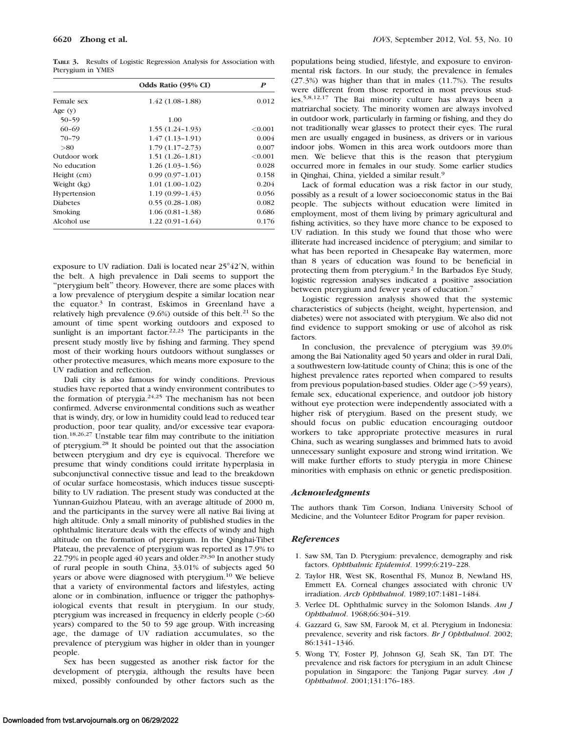TABLE 3. Results of Logistic Regression Analysis for Association with Pterygium in YMES

|                 | Odds Ratio (95% CI) | P          |
|-----------------|---------------------|------------|
| Female sex      | 1.42 (1.08-1.88)    | 0.012      |
| Age $(y)$       |                     |            |
| $50 - 59$       | 1.00                |            |
| $60 - 69$       | $1.55(1.24-1.93)$   | ${<}0.001$ |
| $70 - 79$       | $1.47(1.13-1.91)$   | 0.004      |
| > 80            | $1.79(1.17-2.73)$   | 0.007      |
| Outdoor work    | $1.51(1.26-1.81)$   | < 0.001    |
| No education    | $1.26(1.03-1.56)$   | 0.028      |
| Height (cm)     | $0.99(0.97-1.01)$   | 0.158      |
| Weight (kg)     | $1.01(1.00-1.02)$   | 0.204      |
| Hypertension    | $1.19(0.99 - 1.43)$ | 0.056      |
| <b>Diabetes</b> | $0.55(0.28-1.08)$   | 0.082      |
| Smoking         | $1.06(0.81-1.38)$   | 0.686      |
| Alcohol use     | $1.22(0.91-1.64)$   | 0.176      |

exposure to UV radiation. Dali is located near  $25^{\circ}42'N$ , within the belt. A high prevalence in Dali seems to support the ''pterygium belt'' theory. However, there are some places with a low prevalence of pterygium despite a similar location near the equator.<sup>3</sup> In contrast, Eskimos in Greenland have a relatively high prevalence  $(9.6%)$  outside of this belt.<sup>21</sup> So the amount of time spent working outdoors and exposed to sunlight is an important factor.<sup>22,23</sup> The participants in the present study mostly live by fishing and farming. They spend most of their working hours outdoors without sunglasses or other protective measures, which means more exposure to the UV radiation and reflection.

Dali city is also famous for windy conditions. Previous studies have reported that a windy environment contributes to the formation of pterygia. $24,25$  The mechanism has not been confirmed. Adverse environmental conditions such as weather that is windy, dry, or low in humidity could lead to reduced tear production, poor tear quality, and/or excessive tear evaporation.18,26,27 Unstable tear film may contribute to the initiation of pterygium.28 It should be pointed out that the association between pterygium and dry eye is equivocal. Therefore we presume that windy conditions could irritate hyperplasia in subconjunctival connective tissue and lead to the breakdown of ocular surface homeostasis, which induces tissue susceptibility to UV radiation. The present study was conducted at the Yunnan-Guizhou Plateau, with an average altitude of 2000 m, and the participants in the survey were all native Bai living at high altitude. Only a small minority of published studies in the ophthalmic literature deals with the effects of windy and high altitude on the formation of pterygium. In the Qinghai-Tibet Plateau, the prevalence of pterygium was reported as 17.9% to 22.79% in people aged 40 years and older.<sup>29,30</sup> In another study of rural people in south China, 33.01% of subjects aged 50 years or above were diagnosed with pterygium.<sup>10</sup> We believe that a variety of environmental factors and lifestyles, acting alone or in combination, influence or trigger the pathophysiological events that result in pterygium. In our study, pterygium was increased in frequency in elderly people (>60 years) compared to the 50 to 59 age group. With increasing age, the damage of UV radiation accumulates, so the prevalence of pterygium was higher in older than in younger people.

Sex has been suggested as another risk factor for the development of pterygia, although the results have been mixed, possibly confounded by other factors such as the

populations being studied, lifestyle, and exposure to environmental risk factors. In our study, the prevalence in females (27.3%) was higher than that in males (11.7%). The results were different from those reported in most previous studies.5,8,12,17 The Bai minority culture has always been a matriarchal society. The minority women are always involved in outdoor work, particularly in farming or fishing, and they do not traditionally wear glasses to protect their eyes. The rural men are usually engaged in business, as drivers or in various indoor jobs. Women in this area work outdoors more than men. We believe that this is the reason that pterygium occurred more in females in our study. Some earlier studies in Qinghai, China, yielded a similar result.<sup>9</sup>

Lack of formal education was a risk factor in our study, possibly as a result of a lower socioeconomic status in the Bai people. The subjects without education were limited in employment, most of them living by primary agricultural and fishing activities, so they have more chance to be exposed to UV radiation. In this study we found that those who were illiterate had increased incidence of pterygium; and similar to what has been reported in Chesapeake Bay watermen, more than 8 years of education was found to be beneficial in protecting them from pterygium.2 In the Barbados Eye Study, logistic regression analyses indicated a positive association between pterygium and fewer years of education.<sup>7</sup>

Logistic regression analysis showed that the systemic characteristics of subjects (height, weight, hypertension, and diabetes) were not associated with pterygium. We also did not find evidence to support smoking or use of alcohol as risk factors.

In conclusion, the prevalence of pterygium was 39.0% among the Bai Nationality aged 50 years and older in rural Dali, a southwestern low-latitude county of China; this is one of the highest prevalence rates reported when compared to results from previous population-based studies. Older age (>59 years), female sex, educational experience, and outdoor job history without eye protection were independently associated with a higher risk of pterygium. Based on the present study, we should focus on public education encouraging outdoor workers to take appropriate protective measures in rural China, such as wearing sunglasses and brimmed hats to avoid unnecessary sunlight exposure and strong wind irritation. We will make further efforts to study pterygia in more Chinese minorities with emphasis on ethnic or genetic predisposition.

#### Acknowledgments

The authors thank Tim Corson, Indiana University School of Medicine, and the Volunteer Editor Program for paper revision.

#### **References**

- 1. Saw SM, Tan D. Pterygium: prevalence, demography and risk factors. Ophthalmic Epidemiol. 1999;6:219–228.
- 2. Taylor HR, West SK, Rosenthal FS, Munoz B, Newland HS, Emmett EA. Corneal changes associated with chronic UV irradiation. Arch Ophthalmol. 1989;107:1481–1484.
- 3. Verlee DL. Ophthalmic survey in the Solomon Islands.  $Am J$ Ophthalmol. 1968;66:304–319.
- 4. Gazzard G, Saw SM, Farook M, et al. Pterygium in Indonesia: prevalence, severity and risk factors. Br J Ophthalmol. 2002; 86:1341–1346.
- 5. Wong TY, Foster PJ, Johnson GJ, Seah SK, Tan DT. The prevalence and risk factors for pterygium in an adult Chinese population in Singapore: the Tanjong Pagar survey. Am J Ophthalmol. 2001;131:176–183.